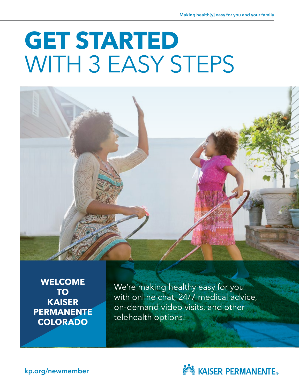# **GET STARTED** WITH 3 EASY STEPS



**WELCOME TO KAISER PERMANENTE COLORADO**

We're making healthy easy for you with online chat, 24/7 medical advice, on-demand video visits, and other telehealth options!



[kp.org/n](http://kp.org/newmember)ewmember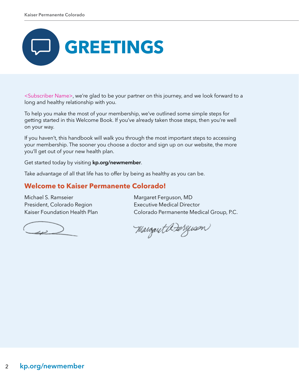

<Subscriber Name>, we're glad to be your partner on this journey, and we look forward to a long and healthy relationship with you.

To help you make the most of your membership, we've outlined some simple steps for getting started in this Welcome Book. If you've already taken those steps, then you're well on your way.

If you haven't, this handbook will walk you through the most important steps to accessing your membership. The sooner you choose a doctor and sign up on our website, the more you'll get out of your new health plan.

Get started today by visiting [kp.org/newmember](http://kp.org/newmember).

Take advantage of all that life has to offer by being as healthy as you can be.

# **Welcome to Kaiser Permanente Colorado!**

Michael S. Ramseier President, Colorado Region Kaiser Foundation Health Plan

ر در

Margaret Ferguson, MD Executive Medical Director Colorado Permanente Medical Group, P.C.

Margaret Dærgissen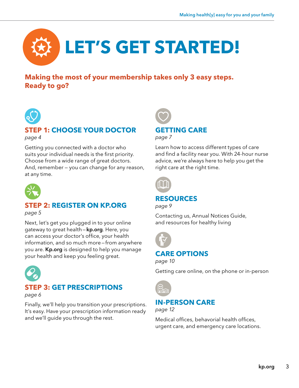

# **Making the most of your membership takes only 3 easy steps. Ready to go?**



# **1: CHOOSE YOUR DOCTOR** *page 4*

Getting you connected with a doctor who suits your individual needs is the first priority. Choose from a wide range of great doctors. And, remember — you can change for any reason, at any time.



# **STEP 2: REGISTER ON [KP.ORG](http://kp.org)**

*page 5*

Next, let's get you plugged in to your online gateway to great health - [kp.org](http://kp.org). Here, you can access your doctor's office, your health information, and so much more—from anywhere you are. [Kp.org](http://Kp.org) is designed to help you manage your health and keep you feeling great.



# **STEP 3: GET PRESCRIPTIONS**

*page 6*

Finally, we'll help you transition your prescriptions. It's easy. Have your prescription information ready and we'll guide you through the rest.



*page 7*

Learn how to access different types of care and find a facility near you. With 24-hour nurse advice, we're always here to help you get the right care at the right time.



# **RESOURCES**

*page 9*

Contacting us, Annual Notices Guide, and resources for healthy living



# **CARE OPTIONS**

*page 10*

Getting care online, on the phone or in-person



**IN-PERSON CARE**

*page 12*

Medical offices, behavorial health offices, urgent care, and emergency care locations.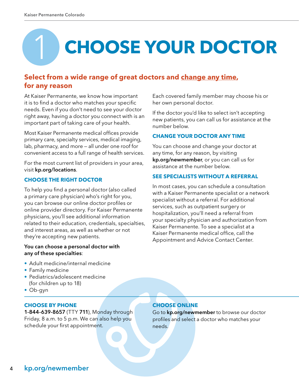# **CHOOSE YOUR DOCTOR** 1

# **Select from a wide range of great doctors and change any time, for any reason**

At Kaiser Permanente, we know how important it is to find a doctor who matches your specific needs. Even if you don't need to see your doctor right away, having a doctor you connect with is an important part of taking care of your health.

Most Kaiser Permanente medical offices provide primary care, specialty services, medical imaging, lab, pharmacy, and more — all under one roof for convenient access to a full range of health services.

For the most current list of providers in your area, visit [kp.org/locations](http://kp.org/locations).

# **CHOOSE THE RIGHT DOCTOR**

To help you find a personal doctor (also called a primary care physician) who's right for you, you can browse our online doctor profiles or online provider directory. For Kaiser Permanente physicians, you'll see additional information related to their education, credentials, specialties, and interest areas, as well as whether or not they're accepting new patients.

#### You can choose a personal doctor with any of these specialties:

- Adult medicine/internal medicine
- Family medicine
- Pediatrics/adolescent medicine (for children up to 18)
- Ob-gyn

#### **CHOOSE BY PHONE**

1-844-639-8657 (TTY 711), Monday through Friday, 8 a.m. to 5 p.m. We can also help you schedule your first appointment.

Each covered family member may choose his or her own personal doctor.

If the doctor you'd like to select isn't accepting new patients, you can call us for assistance at the number below.

# **CHANGE YOUR DOCTOR ANY TIME**

You can choose and change your doctor at any time, for any reason, by visiting [kp.org/newmember](http://kp.org/newmember), or you can call us for assistance at the number below.

#### **SEE SPECIALISTS WITHOUT A REFERRAL**

In most cases, you can schedule a consultation with a Kaiser Permanente specialist or a network specialist without a referral. For additional services, such as outpatient surgery or hospitalization, you'll need a referral from your specialty physician and authorization from Kaiser Permanente. To see a specialist at a Kaiser Permanente medical office, call the Appointment and Advice Contact Center.

# **CHOOSE ONLINE**

Go to [kp.org/newmember](http://kp.org/newmember) to browse our doctor profiles and select a doctor who matches your needs.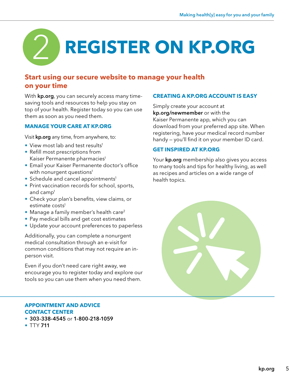# **REGISTER ON [KP.ORG](http://kp.org)** 2

# **Start using our secure website to manage your health on your time**

With **[kp.org](http://kp.org)**, you can securely access many timesaving tools and resources to help you stay on top of your health. Register today so you can use them as soon as you need them.

# **MANAGE YOUR CARE AT [KP.ORG](http://kp.org)**

Visit **[kp.org](http://kp.org)** any time, from anywhere, to:

- View most lab and test results<sup>1</sup>
- Refill most prescriptions from Kaiser Permanente pharmacies<sup>1</sup>
- Email your Kaiser Permanente doctor's office with nonurgent questions<sup>1</sup>
- Schedule and cancel appointments<sup>1</sup>
- Print vaccination records for school, sports, and camp1
- Check your plan's benefits, view claims, or estimate costs<sup>1</sup>
- Manage a family member's health care<sup>2</sup>
- Pay medical bills and get cost estimates
- Update your account preferences to paperless

Additionally, you can complete a nonurgent medical consultation through an e-visit for common conditions that may not require an inperson visit.

Even if you don't need care right away, we encourage you to register today and explore our tools so you can use them when you need them.

#### **APPOINTMENT AND ADVICE CONTACT CENTER**

- 303-338-4545 or 1-800-218-1059
- TTY 711

#### **CREATING A [KP.ORG](http://kp.org) ACCOUNT IS EASY**

Simply create your account at [kp.org/newmember](http://kp.org/newmember) or with the Kaiser Permanente app, which you can download from your preferred app site. When registering, have your medical record number handy — you'll find it on your member ID card.

#### **GET INSPIRED AT [KP.ORG](http://kp.org)**

Your **[kp.org](http://kp.org)** membership also gives you access to many tools and tips for healthy living, as well as recipes and articles on a wide range of health topics.

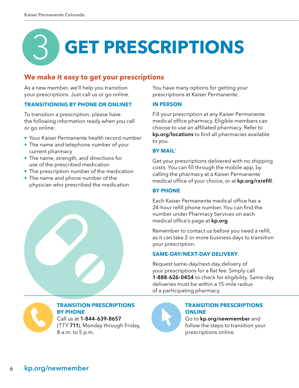# 3 **GET PRESCRIPTIONS**

# **We make it easy to get your prescriptions**

As a new member, we'll help you transition your prescriptions. Just call us or go online.

#### **TRANSITIONING BY PHONE OR ONLINE?**

To transition a prescription, please have the following information ready when you call or go online:

- Your Kaiser Permanente health record number
- The name and telephone number of your current pharmacy
- The name, strength, and directions for use of the prescribed medication
- The prescription number of the medication
- The name and phone number of the physician who prescribed the medication



You have many options for getting your prescriptions at Kaiser Permanente:

#### **IN PERSON**

Fill your prescription at any Kaiser Permanente medical office pharmacy. Eligible members can choose to use an affiliated pharmacy. Refer to [kp.org/locations](http://kp.org/locations) to find all pharmacies available to you.

#### **BY MAIL**<sup>3</sup>

Get your prescriptions delivered with no shipping costs. You can fill through the mobile app, by calling the pharmacy at a Kaiser Permanente medical office of your choice, or at [kp.org/rxrefill](http://kp.org/rxrefill).

#### **BY PHONE**

Each Kaiser Permanente medical office has a 24-hour refill phone number. You can find the number under Pharmacy Services on each medical office's page at [kp.org](http://kp.org).

Remember to contact us before you need a refill, as it can take 2 or more business days to transition your prescription.

#### **SAME-DAY/NEXT-DAY DELIVERY**

Request same-day/next-day delivery of your prescriptions for a flat fee. Simply call 1-888-626-0454 to check for eligibility. Same-day deliveries must be within a 15-mile radius of a participating pharmacy.



# **TRANSITION PRESCRIPTIONS BY PHONE**

Call us at 1-844-639-8657 (TTY 711), Monday through Friday, 8 a.m. to 5 p.m.



# **TRANSITION PRESCRIPTIONS ONLINE**

Go to [kp.org/newmember](http://kp.org/newmember) and follow the steps to transition your prescriptions online.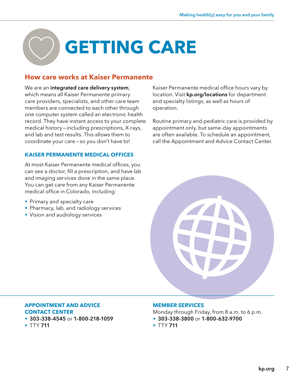# **GETTING CARE**

# **How care works at Kaiser Permanente**

We are an integrated care delivery system, which means all Kaiser Permanente primary care providers, specialists, and other care team members are connected to each other through one computer system called an electronic health record. They have instant access to your complete medical history—including prescriptions, X-rays, and lab and test results. This allows them to coordinate your care—so you don't have to!

# **KAISER PERMANENTE MEDICAL OFFICES**

At most Kaiser Permanente medical offices, you can see a doctor, fill a prescription, and have lab and imaging services done in the same place. You can get care from any Kaiser Permanente medical office in Colorado, including:

- Primary and specialty care
- Pharmacy, lab, and radiology services
- Vision and audiology services

Kaiser Permanente medical office hours vary by location. Visit [kp.org/locations](http://kp.org/locations) for department and specialty listings, as well as hours of operation.

Routine primary and pediatric care is provided by appointment only, but same-day appointments are often available. To schedule an appointment, call the Appointment and Advice Contact Center.



#### **APPOINTMENT AND ADVICE CONTACT CENTER**

- 303-338-4545 or 1-800-218-1059
- TTY 711

#### **MEMBER SERVICES**

Monday through Friday, from 8 a.m. to 6 p.m.

- 303-338-3800 or 1-800-632-9700
- TTY 711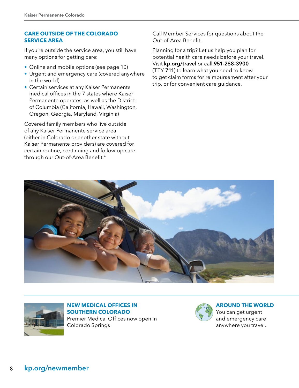#### **CARE OUTSIDE OF THE COLORADO SERVICE AREA**

If you're outside the service area, you still have many options for getting care:

- Online and mobile options (see page 10)
- Urgent and emergency care (covered anywhere in the world)
- Certain services at any Kaiser Permanente medical offices in the 7 states where Kaiser Permanente operates, as well as the District of Columbia (California, Hawaii, Washington, Oregon, Georgia, Maryland, Virginia)

Covered family members who live outside of any Kaiser Permanente service area (either in Colorado or another state without Kaiser Permanente providers) are covered for certain routine, continuing and follow-up care through our Out-of-Area Benefit.<sup>4</sup>

Call Member Services for questions about the Out-of-Area Benefit.

Planning for a trip? Let us help you plan for potential health care needs before your travel. Visit [kp.org/travel](http://kp.org/travel) or call 951-268-3900 (TTY 711) to learn what you need to know, to get claim forms for reimbursement after your trip, or for convenient care guidance.





#### **NEW MEDICAL OFFICES IN SOUTHERN COLORADO**

Premier Medical Offices now open in Colorado Springs



#### **AROUND THE WORLD**

You can get urgent and emergency care anywhere you travel.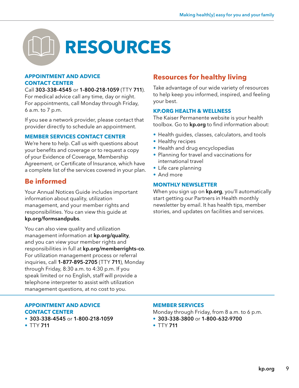

#### **APPOINTMENT AND ADVICE CONTACT CENTER**

Call 303-338-4545 or 1-800-218-1059 (TTY 711). For medical advice call any time, day or night. For appointments, call Monday through Friday, 6 a.m. to 7 p.m.

If you see a network provider, please contact that provider directly to schedule an appointment.

#### **MEMBER SERVICES CONTACT CENTER**

We're here to help. Call us with questions about your benefits and coverage or to request a copy of your Evidence of Coverage, Membership Agreement, or Certificate of Insurance, which have a complete list of the services covered in your plan.

# **Be informed**

Your Annual Notices Guide includes important information about quality, utilization management, and your member rights and responsibilities. You can view this guide at [kp.org/formsandpubs](http://kp.org/formsandpubs).

You can also view quality and utilization management information at [kp.org/quality](http://kp.org/quality,), and you can view your member rights and responsibilities in full at [kp.org/memberrights-co](http://kp.org/memberrights-co). For utilization management process or referral inquiries, call 1-877-895-2705 (TTY 711), Monday through Friday, 8:30 a.m. to 4:30 p.m. If you speak limited or no English, staff will provide a telephone interpreter to assist with utilization management questions, at no cost to you.

#### **APPOINTMENT AND ADVICE CONTACT CENTER**

- 303-338-4545 or 1-800-218-1059
- TTY 711

# **Resources for healthy living**

Take advantage of our wide variety of resources to help keep you informed, inspired, and feeling your best.

#### **[KP.ORG](http://kp.org) HEALTH & WELLNESS**

The Kaiser Permanente website is your health toolbox. Go to **[kp.org](http://kp.org)** to find information about:

- Health guides, classes, calculators, and tools
- Healthy recipes
- Health and drug encyclopedias
- Planning for travel and vaccinations for international travel
- Life care planning
- And more

#### **MONTHLY NEWSLETTER**

When you sign up on **[kp.org](http://kp.org)**, you'll automatically start getting our Partners in Health monthly newsletter by email. It has health tips, member stories, and updates on facilities and services.

#### **MEMBER SERVICES**

Monday through Friday, from 8 a.m. to 6 p.m.

- 303-338-3800 or 1-800-632-9700
- $TTY711$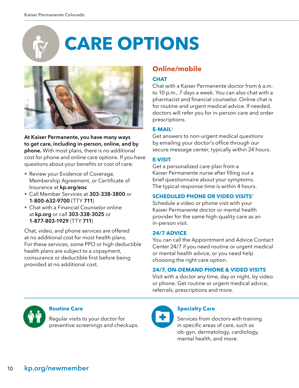# **CARE OPTIONS**



**At Kaiser Permanente, you have many ways to get care, including in-person, online, and by phone.** With most plans, there is no additional cost for phone and online care options. If you have questions about your benefits or cost of care:

- Review your Evidence of Coverage, Membership Agreement, or Certificate of Insurance at **[kp.org/eoc](http://kp.org/eoc)**
- Call Member Services at **303-338-3800** or **1-800-632-9700** (TTY **711**)
- Chat with a Financial Counselor online at **[kp.org](http://kp.org)** or call **303-338-3025** or **1-877-803-1929** (TTY **711**)

Chat, video, and phone services are offered at no additional cost for most health plans. For these services, some PPO or high deductible health plans are subject to a copayment, coinsurance or deductible first before being provided at no additional cost.

# **Online/mobile**

# **CHAT**

Chat with a Kaiser Permanente doctor from 6 a.m. to 10 p.m., 7 days a week. You can also chat with a pharmacist and financial counselor. Online chat is for routine and urgent medical advice. If needed, doctors will refer you for in-person care and order prescriptions.

# **E-MAIL**<sup>1</sup>

Get answers to non-urgent medical questions by emailing your doctor's office through our secure message center, typically within 24 hours.

# **E-VISIT**

Get a personalized care plan from a Kaiser Permanente nurse after filling out a brief questionnaire about your symptoms. The typical response time is within 4 hours.

# **SCHEDULED PHONE OR VIDEO VISITS**<sup>1</sup>

Schedule a video or phone visit with your Kaiser Permanente doctor or mental health provider for the same high-quality care as an in-person visit.

# **24/7 ADVICE**

You can call the Appointment and Advice Contact Center 24/7 if you need routine or urgent medical or mental health advice, or you need help choosing the right care option.

# **24/7, ON-DEMAND PHONE & VIDEO VISITS**

Visit with a doctor any time, day or night, by video or phone. Get routine or urgent medical advice, referrals, prescriptions and more.



#### **Routine Care**

Regular visits to your doctor for preventive screenings and checkups.



# **Specialty Care**

Services from doctors with training in specific areas of care, such as ob-gyn, dermatology, cardiology, mental health, and more.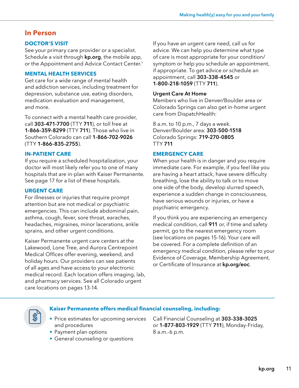# **In Person**

#### **DOCTOR'S VISIT**

See your primary care provider or a specialist. Schedule a visit through **[kp.org](http://kp.org)**, the mobile app, or the Appointment and Advice Contact Center.<sup>1</sup>

#### **MENTAL HEALTH SERVICES**

Get care for a wide range of mental health and addiction services, including treatment for depression, substance use, eating disorders, medication evaluation and management, and more.

To connect with a mental health care provider, call **303-471-7700** (TTY **711**), or toll free at **1-866-359-8299** (TTY **711**). Those who live in Southern Colorado can call **1-866-702-9026** (TTY **1-866-835-2755**).

#### **IN-PATIENT CARE**

If you require a scheduled hospitalization, your doctor will most likely refer you to one of many hospitals that are in-plan with Kaiser Permanente. See page 17 for a list of these hospitals.

#### **URGENT CARE**

For illnesses or injuries that require prompt attention but are not medical or psychiatric emergencies. This can include abdominal pain, asthma, cough, fever, sore throat, earaches, headaches, migraines, minor lacerations, ankle sprains, and other urgent conditions.

Kaiser Permanente urgent care centers at the Lakewood, Lone Tree, and Aurora Centrepoint Medical Offices offer evening, weekend, and holiday hours. Our providers can see patients of all ages and have access to your electronic medical record. Each location offers imaging, lab, and pharmacy services. See all Colorado urgent care locations on pages 13-14.

If you have an urgent care need, call us for advice. We can help you determine what type of care is most appropriate for your condition/ symptom or help you schedule an appointment, if appropriate. To get advice or schedule an appointment, call **303-338-4545** or **1-800-218-1059** (TTY **711**).

#### **Urgent Care At Home**

Members who live in Denver/Boulder area or Colorado Springs can also get in-home urgent care from DispatchHealth:

8 a.m. to 10 p.m., 7 days a week. Denver/Boulder area: **303-500-1518** Colorado Springs: **719-270-0805** TTY **711**

#### **EMERGENCY CARE**

When your health is in danger and you require immediate care. For example, if you feel like you are having a heart attack, have severe difficulty breathing, lose the ability to talk or to move one side of the body, develop slurred speech, experience a sudden change in consciousness, have serious wounds or injuries, or have a psychiatric emergency.

If you think you are experiencing an emergency medical condition, call **911** or, if time and safety permit, go to the nearest emergency room (see locations on pages 15-16). Your care will be covered. For a complete definition of an emergency medical condition, please refer to your Evidence of Coverage, Membership Agreement, or Certificate of Insurance at **[kp.org/eoc](http://kp.org/eoc)**.



#### **Kaiser Permanente offers medical financial counseling, including:**

- Price estimates for upcoming services and procedures
- Payment plan options
- General counseling or questions

Call Financial Counseling at **303-338-3025** or **1-877-803-1929** (TTY **711**), Monday-Friday, 8 a.m.-6 p.m.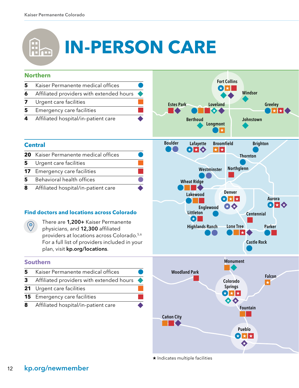# $\left(\begin{matrix} 1 \\ 1 \\ 1 \end{matrix}\right)$ **IN-PERSON CARE**



★ Indicates multiple facilities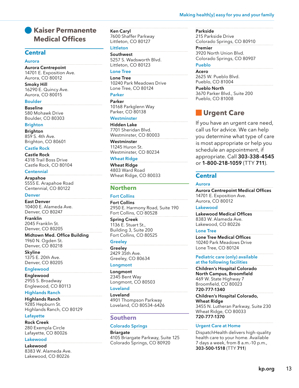#### Making health[y] easy for you and your family

# **Kaiser Permanente Medical Offices**

#### **Central**

#### **Aurora**

**Aurora Centrepoint** 14701 E. Exposition Ave. Aurora, CO 80012

**Smoky Hill**  16290 E. Quincy Ave. Aurora, CO 80015

#### **Boulder**

**Baseline**  580 Mohawk Drive Boulder, CO 80303

#### **Brighton**

**Brighton**  859 S. 4th Ave. Brighton, CO 80601

#### **Castle Rock**

**Castle Rock**  4318 Trail Boss Drive Castle Rock, CO 80104

#### **Centennial**

**Arapahoe**  5555 E. Arapahoe Road Centennial, CO 80122

#### **Denver**

**East Denver**  10400 E. Alameda Ave. Denver, CO 80247

**Franklin**  2045 Franklin St. Denver, CO 80205

**Midtown Med. Office Building** 1960 N. Ogden St. Denver, CO 80218

**Skyline**  1375 E. 20th Ave. Denver, CO 80205

#### **Englewood**

**Englewood**  2955 S. Broadway Englewood, CO 80113

#### **Highlands Ranch**

**Highlands Ranch**  9285 Hepburn St. Highlands Ranch, CO 80129

#### **Lafayette**

**Rock Creek**  280 Exempla Circle Lafayette, CO 80026

#### **Lakewood**

**Lakewood**  8383 W. Alameda Ave. Lakewood, CO 80226

**Ken Caryl**  7600 Shaffer Parkway Littleton, CO 80127

#### **Littleton Southwest**

5257 S. Wadsworth Blvd. Littleton, CO 80123

# **Lone Tree**

**Lone Tree**  10240 Park Meadows Drive Lone Tree, CO 80124

**Parker**

**Parker**  10168 Parkglenn Way Parker, CO 80138

#### **Westminster**

**Hidden Lake**  7701 Sheridan Blvd. Westminster, CO 80003

#### **Westminster**

11245 Huron St. Westminster, CO 80234

#### **Wheat Ridge**

**Wheat Ridge**  4803 Ward Road Wheat Ridge, CO 80033

#### **Northern**

#### **Fort Collins**

**Fort Collins**  2950 E. Harmony Road, Suite 190 Fort Collins, CO 80528

**Spring Creek**  1136 E. Stuart St., Building 3, Suite 200 Fort Collins, CO 80525

#### **Greeley**

**Greeley**  2429 35th Ave. Greeley, CO 80634

#### **Longmont**

**Longmont**  2345 Bent Way Longmont, CO 80503

#### **Loveland**

**Loveland**  4901 Thompson Parkway Loveland, CO 80534-6426

#### **Southern**

#### **Colorado Springs**

**Briargate**  4105 Briargate Parkway, Suite 125 Colorado Springs, CO 80920

#### **Parkside**

215 Parkside Drive Colorado Springs, CO 80910

**Premier**  3920 North Union Blvd. Colorado Springs, CO 80907

# **Pueblo**

**Acero**  2625 W. Pueblo Blvd. Pueblo, CO 81004

**Pueblo North** 

3670 Parker Blvd., Suite 200 Pueblo, CO 81008

# **Urgent Care**

If you have an urgent care need, call us for advice. We can help you determine what type of care is most appropriate or help you schedule an appointment, if appropriate. Call 303-338-4545 or 1-800-218-1059 (TTY 711).

#### **Central**

#### **Aurora**

**Aurora Centrepoint Medical Offices**  14701 E. Exposition Ave. Aurora, CO 80012

#### **Lakewood**

**Lakewood Medical Offices**  8383 W. Alameda Ave. Lakewood, CO 80226

#### **Lone Tree**

**Lone Tree Medical Offices**  10240 Park Meadows Drive Lone Tree, CO 80124

**Pediatric care (only) available at the following facilities**

**Children's Hospital Colorado North Campus, Broomfield**  469 W. State Highway 7 Broomfield, CO 80023 **720-777-1340**

**Children's Hospital Colorado, Wheat Ridge**  3455 N. Lutheran Parkway, Suite 230 Wheat Ridge, CO 80033 **720-777-1370**

#### **Urgent Care at Home**

DispatchHealth delivers high-quality health care to your home. Available 7 days a week, from 8 a.m.-10 p.m., **303-500-1518** (TTY **711**)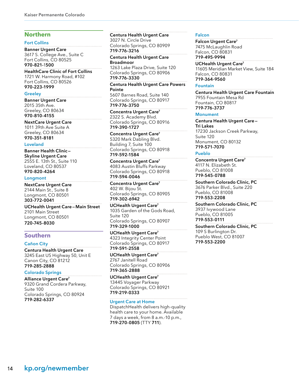# **Northern**

#### **Fort Collins**

**Banner Urgent Care** 3617 S. College Ave., Suite C Fort Collins, CO 80525 **970-821-**1**500**

**HealthCare Clinic of Fort Collins**  1721 W. Harmony Road, #102 Fort Collins, CO 80526 **970-223-1999**

#### **Greeley**

**Banner Urgent Care** 2015 35th Ave. Greeley, CO 80634 **970-810-4155**

**NextCare Urgent Care**  1011 39th Ave Suite A Greeley, CO 80634 **970-351-8181**

#### **Loveland**

**Banner Health Clinic— Skyline Urgent Care**  2555 E. 13th St., Suite 110 Loveland, CO 80537 **970-820-4264** 

#### **Longmont**

**NextCare Urgent Care** 2144 Main St., Suite 8 Longmont, CO 80501 **303-772-0041**

**UCHealth Urgent Care—Main Street**  2101 Main Street Longmont, CO 80501 **720-745-8030**

#### **Southern**

#### **Cañon City**

**Centura Health Urgent Care** 3245 East US Highway 50, Unit E Canon City, CO 81212 **719-285-2888**

#### **Colorado Springs**

**Alliance Urgent Care7** 9320 Grand Cordera Parkway, Suite 100 Colorado Springs, CO 80924 **719-282-6337**

**Centura Health Urgent Care**  3027 N. Circle Drive Colorado Springs, CO 80909 **719-776-3216**

**Centura Health Urgent Care Broadmoor**

1263 Lake Plaza Drive, Suite 120 Colorado Springs, CO 80906 **719-776-3330**

**Centura Health Urgent Care Powers Pointe**  5607 Barnes Road, Suite 140

Colorado Springs, CO 80917 **719-776-3750**

**Concentra Urgent Care7** 2322 S. Academy Blvd. Colorado Springs, CO 80916 **719-390-1727**

**Concentra Urgent Care7** 5320 Mark Dabling Blvd. Building 7, Suite 100 Colorado Springs, CO 80918 **719-592-1584**

**Concentra Urgent Care7** 4083 Austin Bluffs Parkway Colorado Springs, CO 80918 **719-594-0046**

**Concentra Urgent Care7** 402 W. Bijou St. Colorado Springs, CO 80905 **719-302-6942**

**UCHealth Urgent Care7** 1035 Garden of the Gods Road, Suite 120 Colorado Springs, CO 80907 **719-329-1000**

**UCHealth Urgent Care7** 4323 Integrity Center Point Colorado Springs, CO 80917 **719-591-2558**

**UCHealth Urgent Care7** 2767 Janitell Road Colorado Springs, CO 80906 **719-365-2888**

**UCHealth Urgent Care7** 13445 Voyager Parkway Colorado Springs, CO 80921 **719-219-0333**

#### **Urgent Care at Home**

DispatchHealth delivers high-quality health care to your home. Available 7 days a week, from 8 a.m.-10 p.m., 719-270-0805 (TTY 711).

#### **Falcon**

**Falcon Urgent Care7** 7475 McLaughlin Road Falcon, CO 80831 **719-495-9994**

**UCHealth Urgent Care7** 11605 Meridian Market View, Suite 184 Falcon, CO 80831 **719-364-9560**

#### **Fountain**

**Centura Health Urgent Care Fountain**  7955 Fountain Mesa Rd Fountain, CO 80817 **719-776-3737**

#### **Monument**

**Centura Health Urgent Care— Tri Lakes** 17230 Jackson Creek Parkway, Suite 120 Monument, CO 80132 **719-571-7070**

#### **Pueblo**

**Concentra Urgent Care7** 4117 N. Elizabeth St. Pueblo, CO 81008 **719-545-0788**

**Southern Colorado Clinic, PC** 3676 Parker Blvd., Suite 220 Pueblo, CO 81008 **719-553-2208**

**Southern Colorado Clinic, PC** 3937 Ivywood Lane Pueblo, CO 81005 **719-553-0111**

**Southern Colorado Clinic, PC**  109 S Burlington Dr. Pueblo West, CO 81007 **719-553-2200**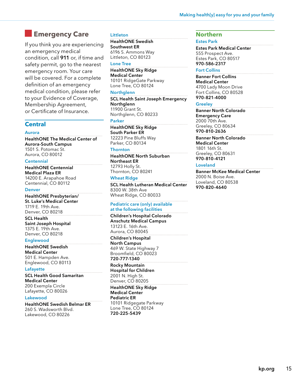# **Emergency Care**

If you think you are experiencing an emergency medical condition, call **911** or, if time and safety permit, go to the nearest emergency room. Your care will be covered. For a complete definition of an emergency medical condition, please refer to your Evidence of Coverage, Membership Agreement, or Certificate of Insurance.

#### **Central**

#### **Aurora**

**HealthONE The Medical Center of Aurora-South Campus** 1501 S. Potomac St. Aurora, CO 80012

#### **Centennial**

**HealthONE Centennial Medical Plaza ER**  14200 E. Arapahoe Road Centennial, CO 80112

#### **Denver**

**HealthONE Presbyterian/ St. Luke's Medical Center** 1719 E. 19th Ave. Denver, CO 80218

#### **SCL Health Saint Joseph Hospital**  1375 E. 19th Ave. Denver, CO 80218

#### **Englewood**

**HealthONE Swedish Medical Center**  501 E. Hampden Ave. Englewood, CO 80113

#### **Lafayette**

**SCL Health Good Samaritan Medical Center** 200 Exempla Circle Lafayette, CO 80026

#### **Lakewood**

**HealthONE Swedish Belmar ER** 260 S. Wadsworth Blvd. Lakewood, CO 80226

#### **Littleton**

**HealthONE Swedish Southwest ER** 6196 S. Ammons Way Littleton, CO 80123

#### **Lone Tree**

**HealthONE Sky Ridge Medical Center**  10101 RidgeGate Parkway Lone Tree, CO 80124

#### **Northglenn**

**SCL Health Saint Joseph Emergency Northglenn** 11900 Grant St. Northglenn, CO 80233

#### **Parker**

**HealthONE Sky Ridge South Parker ER**  12223 Pine Bluffs Way Parker, CO 80134

#### **Thornton**

**HealthONE North Suburban Northeast ER** 12793 Holly St. Thornton, CO 80241

#### **Wheat Ridge**

**SCL Health Lutheran Medical Center**  8300 W. 38th Ave Wheat Ridge, CO 80033

#### **Pediatric care (only) available at the following facilities**

**Children's Hospital Colorado Anschutz Medical Campus**  13123 E. 16th Ave. Aurora, CO 80045

#### **Children's Hospital North Campus**

469 W. State Highway 7 Broomfield, CO 80023 **720-777-1340**

#### **Rocky Mountain**

**Hospital for Children**  2001 N. High St. Denver, CO 80205

#### **HealthONE Sky Ridge Medical Center**

**Pediatric ER**  10101 Ridgegate Parkway Lone Tree, CO 80124 **720-225-5439**

#### **Northern**

#### **Estes Park**

**Estes Park Medical Center** 555 Prospect Ave. Estes Park, CO 80517 **970-586-2317**

#### **Fort Collins**

**Banner Fort Collins Medical Center**  4700 Lady Moon Drive Fort Collins, CO 80528 **970-821-4000**

#### **Greeley**

**Banner North Colorado Emergency Care**  2000 70th Ave. Greeley, CO 80634 **970-810-2636** 

**Banner North Colorado Medical Center**  1801 16th St. Greeley, CO 80631 **970-810-4121**

#### **Loveland**

**Banner McKee Medical Center**  2000 N. Boise Ave. Loveland, CO 80538 **970-820-4640**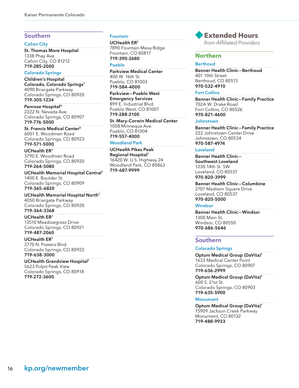#### **Southern**

#### **Cañon City**

**St. Thomas More Hospital** 1338 Phay Ave. Cañon City, CO 81212 **719-285-2000**

#### **Colorado Springs**

**Children's Hospital Colorado, Colorado Springs7**  4090 Briargate Parkway Colorado Springs, CO 80920 **719-305-1234**

**Penrose Hospital8** 2222 N. Nevada Ave. Colorado Springs, CO 80907 **719-776-5000**

**St. Francis Medical Center8** 6001 E. Woodmen Road Colorado Springs, CO 80923 **719-571-5000**

**UCHealth ER7** 3790 E. Woodmen Road Colorado Springs, CO 80920 **719-264-5080**

**UCHealth Memorial Hospital Central7** 1400 E. Boulder St. Colorado Springs, CO 80909 **719-365-6820**

**UCHealth Memorial Hospital North7** 4050 Briargate Parkway Colorado Springs, CO 80920 **719-364-3368**

**UCHealth ER7** 13510 Meadowgrass Drive

Colorado Springs, CO 80921 **719-487-2060**

**UCHealth ER7** 2770 N. Powers Blvd. Colorado Springs, CO 80922 **719-638-3000**

**UCHealth Grandview Hospital7** 5623 Pulpit Peak View Colorado Springs, CO 80918 **719-272-3600**

#### **Fountain**

**UCHealth ER7** 7890 Fountain Mesa Ridge Fountain, CO 80817 **719-390-2680**

**Pueblo**

**Parkview Medical Center** 400 W. 16th St. Pueblo, CO 81003 **719-584-4000**

**Parkview—Pueblo West Emergency Services** 899 E. Industrial Blvd. Pueblo West, CO 81007 **719-288-2100**

**St. Mary-Corwin Medical Center** 1008 Minnequa Ave. Pueblo, CO 81004 **719-557-4000**

#### **Woodland Park**

**UCHealth Pikes Peak Regional Hospital7** 16420 W. U.S. Highway 24 Woodland Park, CO 80863 **719-687-9999**



from Affiliated Providers

#### **Northern**

#### **Berthoud**

**Banner Health Clinic—Berthoud** 401 10th Street Berthoud, CO 80513 **970-532-4910**

#### **Fort Collins**

**Banner Health Clinic—Family Practice**  702A W. Drake Road Fort Collins, CO 80526 **970-821-4600** 

#### **Johnstown**

**Banner Health Clinic—Family Practice**  222 Johnstown Center Drive Johnstown, CO 80534 **970-587-4974**

#### **Loveland**

**Banner Health Clinic— Southwest Loveland**  1230 14th St. SW Loveland, CO 80537 **970-820-3999** 

**Banner Health Clinic—Columbine** 2701 Madison Square Drive Loveland, CO 80537 **970-820-5000**

#### **Windsor**

**Banner Health Clinic—Windsor**  1300 Main St. Windsor, CO 80550 **970-686-5646**

#### **Southern**

#### **Colorado Springs**

**Optum Medical Group (DaVita)7** 1633 Medical Center Point Colorado Springs, CO 80907 **719-636-2999**

**Optum Medical Group (DaVita)7** 600 S. 21st St. Colorado Springs, CO 80903 **719-635-5900**

#### **Monument**

**Optum Medical Group (DaVita)7**  15909 Jackson Creek Parkway Monument, CO 80132 **719-488-9933**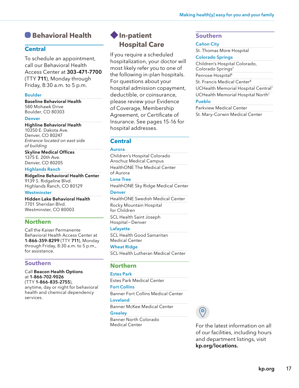# **Behavioral Health**

# **Central**

To schedule an appointment, call our Behavioral Health Access Center at **303-471-7700** (TTY **711**), Monday through Friday, 8:30 a.m. to 5 p.m.

#### **Boulder**

**Baseline Behavioral Health** 580 Mohawk Drive Boulder, CO 80303

#### **Denver**

**Highline Behavioral Health** 10350 E. Dakota Ave. Denver, CO 80247 Entrance located on east side of building

#### **Skyline Medical Offices** 1375 E. 20th Ave. Denver, CO 80205

#### **Highlands Ranch**

**Ridgeline Behavioral Health Center**  9139 S. Ridgeline Blvd. Highlands Ranch, CO 80129

#### **Westminster**

**Hidden Lake Behavioral Health**  7701 Sheridan Blvd. Westminster, CO 80003

# **Northern**

Call the Kaiser Permanente Behavioral Health Access Center at **1-866-359-8299** (TTY **711**), Monday through Friday, 8:30 a.m. to 5 p.m., for assistance.

#### **Southern**

Call Beacon Health Options at 1-866-702-9026 (TTY 1-866-835-2755),

anytime, day or night for behavioral health and chemical dependency services.

# **In-patient Hospital Care**

If you require a scheduled hospitalization, your doctor will most likely refer you to one of the following in-plan hospitals. For questions about your hospital admission copayment, deductible, or coinsurance, please review your Evidence of Coverage, Membership Agreement, or Certificate of Insurance. See pages 15-16 for hospital addresses.

# **Central**

#### **Aurora**

Children's Hospital Colorado Anschuz Medical Campus HealthONE The Medical Center of Aurora **Lone Tree**

HealthONE Sky Ridge Medical Center **Denver**

HealthONE Swedish Medical Center Rocky Mountain Hospital for Children SCL Health Saint Joseph Hospital—Denver

#### **Lafayette**

SCL Health Good Samaritan Medical Center

#### **Wheat Ridge**

SCL Health Lutheran Medical Center

#### **Northern**

#### **Estes Park**

Estes Park Medical Center

#### **Fort Collins**

Banner Fort Collins Medical Center

#### **Loveland**

Banner McKee Medical Center

#### **Greeley**

Banner North Colorado Medical Center

#### **Southern**

#### **Cañon City**

St. Thomas More Hospital

#### **Colorado Springs**

Children's Hospital Colorado, Colorado Springs<sup>7</sup> Penrose Hospital<sup>8</sup> St. Francis Medical Center<sup>8</sup> UCHealth Memorial Hospital Central7 UCHealth Memorial Hospital North7 **Pueblo**

Parkview Medical Center St. Mary-Corwin Medical Center

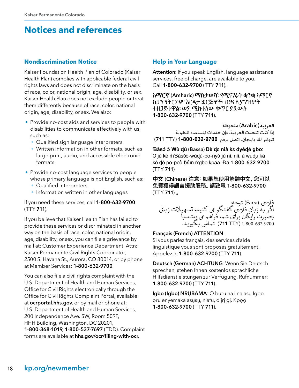# **Notices and references**

# **Nondiscrimination Notice**

Kaiser Foundation Health Plan of Colorado (Kaiser Health Plan) complies with applicable federal civil rights laws and does not discriminate on the basis of race, color, national origin, age, disability, or sex. Kaiser Health Plan does not exclude people or treat them differently because of race, color, national origin, age, disability, or sex. We also:

- Provide no-cost aids and services to people with disabilities to communicate effectively with us, such as:
	- Qualified sign language interpreters
	- Written information in other formats, such as large print, audio, and accessible electronic formats
- Provide no-cost language services to people whose primary language is not English, such as:
	- Qualified interpreters
	- Information written in other languages

If you need these services, call 1-800-632-9700 (TTY 711).

If you believe that Kaiser Health Plan has failed to provide these services or discriminated in another way on the basis of race, color, national origin, age, disability, or sex, you can file a grievance by mail at: Customer Experience Department, Attn: Kaiser Permanente Civil Rights Coordinator, 2500 S. Havana St., Aurora, CO 80014, or by phone at Member Services: 1-800-632-9700.

You can also file a civil rights complaint with the U.S. Department of Health and Human Services, Office for Civil Rights electronically through the Office for Civil Rights Complaint Portal, available at **[ocrportal.hhs.gov](http://ocrportal.hhs.gov)**, or by mail or phone at: U.S. Department of Health and Human Services, 200 Independence Ave. SW, Room 509F, HHH Building, Washington, DC 20201, 1-800-368-1019, 1-800-537-7697 (TDD). Complaint forms are available at [hhs.gov/ocr/filing-with-ocr](http://hhs.gov/ocr/filing-with-ocr).

# **Help in Your Language**

Attention: If you speak English, language assistance services, free of charge, are available to you. Call 1-800-632-9700 (TTY 711).

**አማርኛ** (Amharic) **ማስታወሻ**: የሚናገሩት ቋንቋ ኣማርኛ ከሆነ የትርጉም እርዳታ ድርጅቶች፣ በነጻ ሊያግዝዎት ተዘጋጀተዋል፡ ወደ ሚከተለው ቁጥር ይደውሉ 1-800-632-9700 (TTY 711).

#### **العربية**(Arabic (**ملحوظة:**

إذا كنت تتحدث العربية، فإن خدمات املساعدة اللغوية تتوافر لك باملجان. اتصل برقم **1-800-632-9700** (TTY 711(

**Ɓǎsɔ́ ɔ̀ Wù ɖù** (Bassa) **Dè ɖɛ nìà kɛ dyéɖé gbo**: O jǔ ké m̀Ɓàsɔ́ɔ̀-wùḍù-po-nyɔ̀ jǔ ní, nìí, à wuḍu kà kò ɖò po-poɔ̀ ɓɛ́ìn m̀gbo kpáa. Ɖá 1-800-632-9700 (TTY 711)

中文 (Chinese) 注意:如果您使用繁體中文,您可以 免費獲得語言援助服務。請致電 1-800-632-9700 (TTY 711) 。

فارسی (Farsi) توجه:<br>اگر به زبان فارسی گفتگو می کنید، تسهیلات زبانی<br>بصورت رایگان برای شما فراهم می پاشد.با 1-800-632-9700 (TTY 711(Tتماس بگریید.

#### Français (French) ATTENTION:

Si vous parlez français, des services d'aide linguistique vous sont proposés gratuitement. Appelez le 1-800-632-9700 (TTY 711).

Deutsch (German) ACHTUNG: Wenn Sie Deutsch sprechen, stehen Ihnen kostenlos sprachliche Hilfsdienstleistungen zur Verfügung. Rufnummer: 1-800-632-9700 (TTY 711).

Igbo (Igbo) NRUBAMA: O buru na i na asu Igbo, ọrụ enyemaka asụsụ, n'efu, dịịrị gị. Kpọọ 1-800-632-9700 (TTY 711).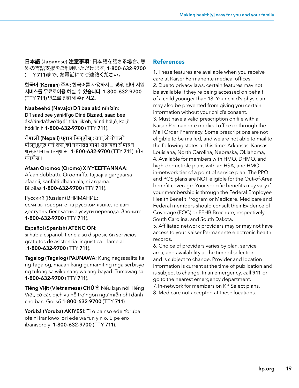日本語 (Japanese) 注意事項:日本語を話さる場合、無 料の言語支援をご利用いただけます。1-800-632-9700 (TTY 711)まで、お電話にてご連絡ください。

**한국어** (Korean) **주의**: 한국어를 사용하시는 경우, 언어 지원 서비스를 무료로이용 하실 수 있습니다. 1-800-632-9700 (TTY 711) 번으로 전화해 주십시오.

Naabeehó (Navajo) Díí baa akó nínízin:

Díí saad bee yáníłti'go Diné Bizaad, saad bee áká'ánída'áwo'déé', t'áá jiik'eh, éí ná hól ó, koj i' hódíílnih 1-800-632-9700 (TTY 711).

**नेपाली (Nepali) ध्यान दिनुहोस्** : तपा्ले नेपाली बोल्नुहुन्छ भने तपा को ननमतत भाषा सहायता सेवाह न शूलक पमा उपलब्ध छ । **1-800-632-9700** (TTY **711**) फोन गनहोस ।

# Afaan Oromoo (Oromo) XIYYEEFFANNAA:

Afaan dubbattu Oroomiffa, tajaajila gargaarsa afaanii, kanfaltiidhaan ala, ni argama. Bilbilaa 1-800-632-9700 (TTY 711).

Pусский (Russian) ВНИМАНИЕ:

eсли вы говорите на русском языке, то вам доступны бесплатные услуги перевода. Звоните 1-800-632-9700 (TTY 711).

# Español (Spanish) ATENCIÓN:

si habla español, tiene a su disposición servicios gratuitos de asistencia lingüística. Llame al 11-800-632-9700 (TTY 711).

Tagalog (Tagalog) PAUNAWA: Kung nagsasalita ka ng Tagalog, maaari kang gumamit ng mga serbisyo ng tulong sa wika nang walang bayad. Tumawag sa 1-800-632-9700 (TTY 711).

**Tiếng Việt (Vietnamese) CHÚ Ý**: Nếu bạn nói Tiếng Việt, có các dịch vụ hỗ trợ ngôn ngữ miễn phí dành cho bạn. Gọi số 1-800-632-9700 (TTY 711).

Yorùbá (Yoruba) AKIYESI: Ti o ba nso ede Yoruba ofe ni iranlowo lori ede wa fun yin o. E pe ero ibanisoro yi 1-800-632-9700 (TTY 711).

# **References**

1. These features are available when you receive care at Kaiser Permanente medical offices. 2. Due to privacy laws, certain features may not be available if they're being accessed on behalf of a child younger than 18. Your child's physician may also be prevented from giving you certain information without your child's consent. 3. Must have a valid prescription on file with a Kaiser Permanente medical office or through the Mail Order Pharmacy. Some prescriptions are not eligible to be mailed, and we are not able to mail to the following states at this time: Arkansas, Kansas, Louisiana, North Carolina, Nebraska, Oklahoma, 4. Available for members with HMO, DHMO, and high-deductible plans with an HSA, and HMO in-network tier of a point of service plan. The PPO and POS plans are NOT eligible for the Out-of-Area benefit coverage. Your specific benefits may vary if your membership is through the Federal Employee Health Benefit Program or Medicare. Medicare and Federal members should consult their Evidence of Coverage (EOC) or FEHB Brochure, respectively. South Carolina, and South Dakota.

5. Affiliated network providers may or may not have access to your Kaiser Permanente electronic health records.

6. Choice of providers varies by plan, service area, and availability at the time of selection and is subject to change. Provider and location information is current at the time of publication and is subject to change. In an emergency, call 911 or go to the nearest emergency department.

7. In-network for members on KP Select plans. 8. Medicare not accepted at these locations.